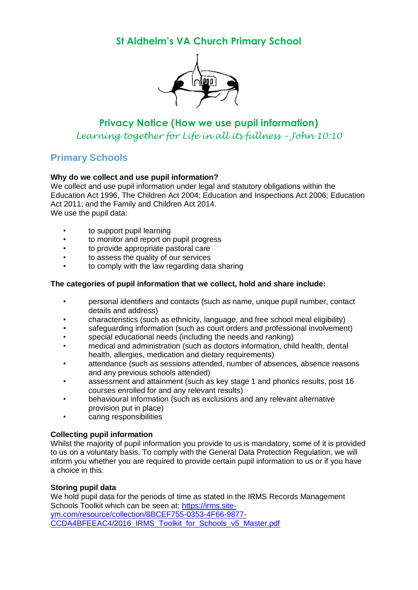# **St Aldhelm's VA Church Primary School**



# **Privacy Notice (How we use pupil information)** *Learning together for Life in all its fullness – John 10:10*

# **Primary Schools**

# **Why do we collect and use pupil information?**

We collect and use pupil information under legal and statutory obligations within the Education Act 1996, The Children Act 2004; Education and Inspections Act 2006; Education Act 2011; and the Family and Children Act 2014. We use the pupil data:

- to support pupil learning
- to monitor and report on pupil progress
- to provide appropriate pastoral care
- to assess the quality of our services
- to comply with the law regarding data sharing

## **The categories of pupil information that we collect, hold and share include:**

- personal identifiers and contacts (such as name, unique pupil number, contact details and address)
- characteristics (such as ethnicity, language, and free school meal eligibility)
- safeguarding information (such as court orders and professional involvement)
- special educational needs (including the needs and ranking)
- medical and administration (such as doctors information, child health, dental health, allergies, medication and dietary requirements)
- attendance (such as sessions attended, number of absences, absence reasons and any previous schools attended)
- assessment and attainment (such as key stage 1 and phonics results, post 16 courses enrolled for and any relevant results)
- behavioural information (such as exclusions and any relevant alternative provision put in place)
- caring responsibilities

# **Collecting pupil information**

Whilst the majority of pupil information you provide to us is mandatory, some of it is provided to us on a voluntary basis. To comply with the General Data Protection Regulation, we will inform you whether you are required to provide certain pupil information to us or if you have a choice in this.

# **Storing pupil data**

We hold pupil data for the periods of time as stated in the IRMS Records Management Schools Toolkit which can be seen at: [https://irms.site](https://irms.site-ym.com/resource/collection/8BCEF755-0353-4F66-9877-CCDA4BFEEAC4/2016_IRMS_Toolkit_for_Schools_v5_Master.pdf)[ym.com/resource/collection/8BCEF755-0353-4F66-9877-](https://irms.site-ym.com/resource/collection/8BCEF755-0353-4F66-9877-CCDA4BFEEAC4/2016_IRMS_Toolkit_for_Schools_v5_Master.pdf) [CCDA4BFEEAC4/2016\\_IRMS\\_Toolkit\\_for\\_Schools\\_v5\\_Master.pdf](https://irms.site-ym.com/resource/collection/8BCEF755-0353-4F66-9877-CCDA4BFEEAC4/2016_IRMS_Toolkit_for_Schools_v5_Master.pdf)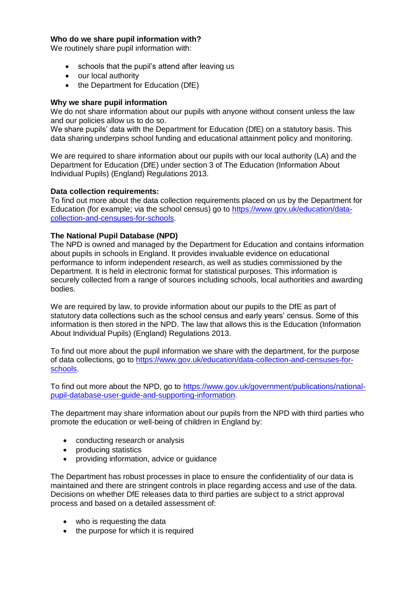### **Who do we share pupil information with?**

We routinely share pupil information with:

- schools that the pupil's attend after leaving us
- our local authority
- the Department for Education (DfE)

## **Why we share pupil information**

We do not share information about our pupils with anyone without consent unless the law and our policies allow us to do so.

We share pupils' data with the Department for Education (DfE) on a statutory basis. This data sharing underpins school funding and educational attainment policy and monitoring.

We are required to share information about our pupils with our local authority (LA) and the Department for Education (DfE) under section 3 of The Education (Information About Individual Pupils) (England) Regulations 2013.

### **Data collection requirements:**

To find out more about the data collection requirements placed on us by the Department for Education (for example; via the school census) go to [https://www.gov.uk/education/data](https://www.gov.uk/education/data-collection-and-censuses-for-schools)[collection-and-censuses-for-schools.](https://www.gov.uk/education/data-collection-and-censuses-for-schools)

### **The National Pupil Database (NPD)**

The NPD is owned and managed by the Department for Education and contains information about pupils in schools in England. It provides invaluable evidence on educational performance to inform independent research, as well as studies commissioned by the Department. It is held in electronic format for statistical purposes. This information is securely collected from a range of sources including schools, local authorities and awarding bodies.

We are required by law, to provide information about our pupils to the DfE as part of statutory data collections such as the school census and early years' census. Some of this information is then stored in the NPD. The law that allows this is the Education (Information About Individual Pupils) (England) Regulations 2013.

To find out more about the pupil information we share with the department, for the purpose of data collections, go to [https://www.gov.uk/education/data-collection-and-censuses-for](https://www.gov.uk/education/data-collection-and-censuses-for-schools)[schools.](https://www.gov.uk/education/data-collection-and-censuses-for-schools)

To find out more about the NPD, go to [https://www.gov.uk/government/publications/national](https://www.gov.uk/government/publications/national-pupil-database-user-guide-and-supporting-information)[pupil-database-user-guide-and-supporting-information.](https://www.gov.uk/government/publications/national-pupil-database-user-guide-and-supporting-information)

The department may share information about our pupils from the NPD with third parties who promote the education or well-being of children in England by:

- conducting research or analysis
- producing statistics
- providing information, advice or guidance

The Department has robust processes in place to ensure the confidentiality of our data is maintained and there are stringent controls in place regarding access and use of the data. Decisions on whether DfE releases data to third parties are subject to a strict approval process and based on a detailed assessment of:

- who is requesting the data
- the purpose for which it is required